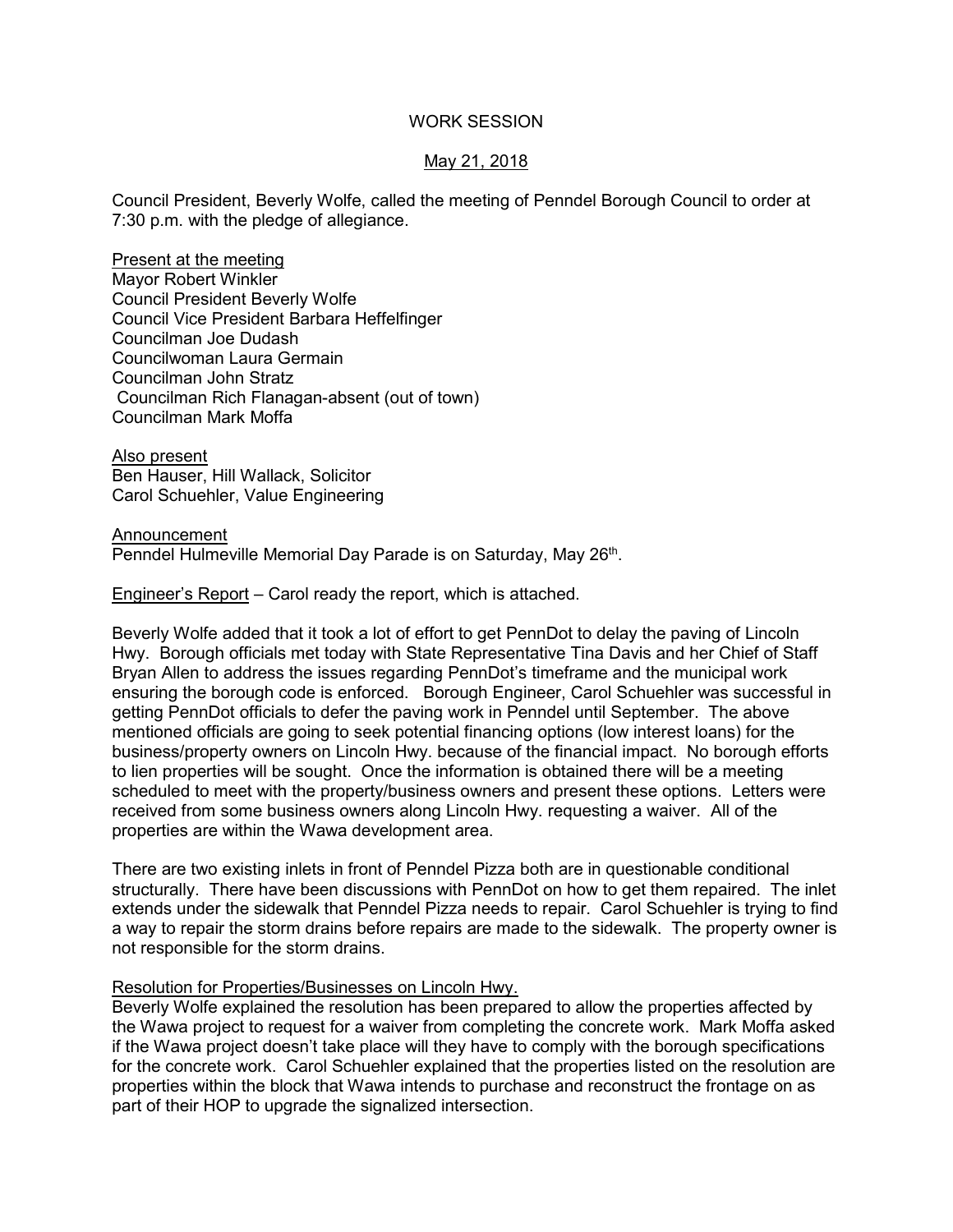## WORK SESSION

# May 21, 2018

Council President, Beverly Wolfe, called the meeting of Penndel Borough Council to order at 7:30 p.m. with the pledge of allegiance.

Present at the meeting Mayor Robert Winkler Council President Beverly Wolfe Council Vice President Barbara Heffelfinger Councilman Joe Dudash Councilwoman Laura Germain Councilman John Stratz Councilman Rich Flanagan-absent (out of town) Councilman Mark Moffa

Also present Ben Hauser, Hill Wallack, Solicitor Carol Schuehler, Value Engineering

#### Announcement

Penndel Hulmeville Memorial Day Parade is on Saturday, May 26<sup>th</sup>.

Engineer's Report – Carol ready the report, which is attached.

Beverly Wolfe added that it took a lot of effort to get PennDot to delay the paving of Lincoln Hwy. Borough officials met today with State Representative Tina Davis and her Chief of Staff Bryan Allen to address the issues regarding PennDot's timeframe and the municipal work ensuring the borough code is enforced. Borough Engineer, Carol Schuehler was successful in getting PennDot officials to defer the paving work in Penndel until September. The above mentioned officials are going to seek potential financing options (low interest loans) for the business/property owners on Lincoln Hwy. because of the financial impact. No borough efforts to lien properties will be sought. Once the information is obtained there will be a meeting scheduled to meet with the property/business owners and present these options. Letters were received from some business owners along Lincoln Hwy. requesting a waiver. All of the properties are within the Wawa development area.

There are two existing inlets in front of Penndel Pizza both are in questionable conditional structurally. There have been discussions with PennDot on how to get them repaired. The inlet extends under the sidewalk that Penndel Pizza needs to repair. Carol Schuehler is trying to find a way to repair the storm drains before repairs are made to the sidewalk. The property owner is not responsible for the storm drains.

#### Resolution for Properties/Businesses on Lincoln Hwy.

Beverly Wolfe explained the resolution has been prepared to allow the properties affected by the Wawa project to request for a waiver from completing the concrete work. Mark Moffa asked if the Wawa project doesn't take place will they have to comply with the borough specifications for the concrete work. Carol Schuehler explained that the properties listed on the resolution are properties within the block that Wawa intends to purchase and reconstruct the frontage on as part of their HOP to upgrade the signalized intersection.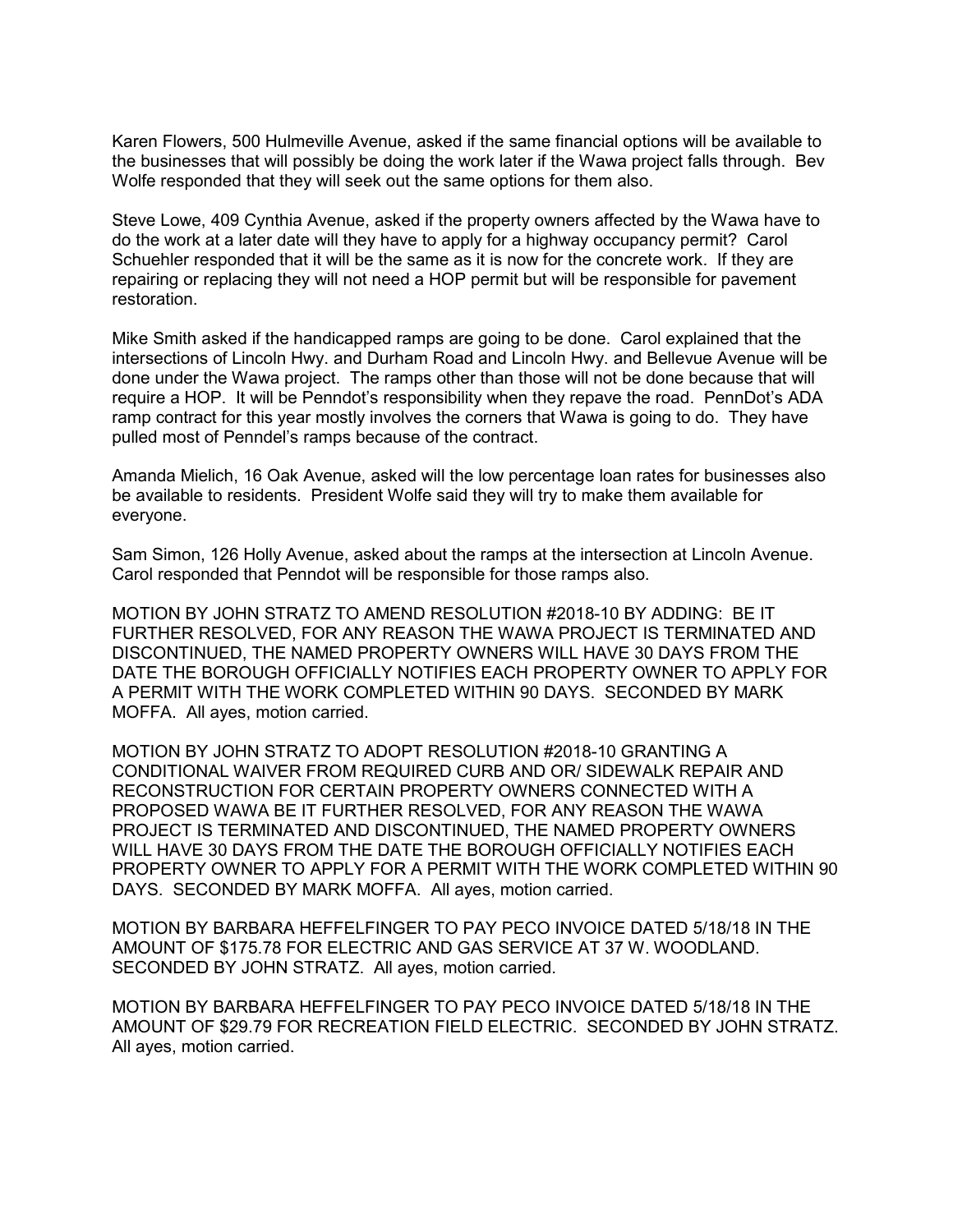Karen Flowers, 500 Hulmeville Avenue, asked if the same financial options will be available to the businesses that will possibly be doing the work later if the Wawa project falls through. Bev Wolfe responded that they will seek out the same options for them also.

Steve Lowe, 409 Cynthia Avenue, asked if the property owners affected by the Wawa have to do the work at a later date will they have to apply for a highway occupancy permit? Carol Schuehler responded that it will be the same as it is now for the concrete work. If they are repairing or replacing they will not need a HOP permit but will be responsible for pavement restoration.

Mike Smith asked if the handicapped ramps are going to be done. Carol explained that the intersections of Lincoln Hwy. and Durham Road and Lincoln Hwy. and Bellevue Avenue will be done under the Wawa project. The ramps other than those will not be done because that will require a HOP. It will be Penndot's responsibility when they repave the road. PennDot's ADA ramp contract for this year mostly involves the corners that Wawa is going to do. They have pulled most of Penndel's ramps because of the contract.

Amanda Mielich, 16 Oak Avenue, asked will the low percentage loan rates for businesses also be available to residents. President Wolfe said they will try to make them available for everyone.

Sam Simon, 126 Holly Avenue, asked about the ramps at the intersection at Lincoln Avenue. Carol responded that Penndot will be responsible for those ramps also.

MOTION BY JOHN STRATZ TO AMEND RESOLUTION #2018-10 BY ADDING: BE IT FURTHER RESOLVED, FOR ANY REASON THE WAWA PROJECT IS TERMINATED AND DISCONTINUED, THE NAMED PROPERTY OWNERS WILL HAVE 30 DAYS FROM THE DATE THE BOROUGH OFFICIALLY NOTIFIES EACH PROPERTY OWNER TO APPLY FOR A PERMIT WITH THE WORK COMPLETED WITHIN 90 DAYS. SECONDED BY MARK MOFFA. All ayes, motion carried.

MOTION BY JOHN STRATZ TO ADOPT RESOLUTION #2018-10 GRANTING A CONDITIONAL WAIVER FROM REQUIRED CURB AND OR/ SIDEWALK REPAIR AND RECONSTRUCTION FOR CERTAIN PROPERTY OWNERS CONNECTED WITH A PROPOSED WAWA BE IT FURTHER RESOLVED, FOR ANY REASON THE WAWA PROJECT IS TERMINATED AND DISCONTINUED, THE NAMED PROPERTY OWNERS WILL HAVE 30 DAYS FROM THE DATE THE BOROUGH OFFICIALLY NOTIFIES EACH PROPERTY OWNER TO APPLY FOR A PERMIT WITH THE WORK COMPLETED WITHIN 90 DAYS. SECONDED BY MARK MOFFA. All ayes, motion carried.

MOTION BY BARBARA HEFFELFINGER TO PAY PECO INVOICE DATED 5/18/18 IN THE AMOUNT OF \$175.78 FOR ELECTRIC AND GAS SERVICE AT 37 W. WOODLAND. SECONDED BY JOHN STRATZ. All ayes, motion carried.

MOTION BY BARBARA HEFFELFINGER TO PAY PECO INVOICE DATED 5/18/18 IN THE AMOUNT OF \$29.79 FOR RECREATION FIELD ELECTRIC. SECONDED BY JOHN STRATZ. All ayes, motion carried.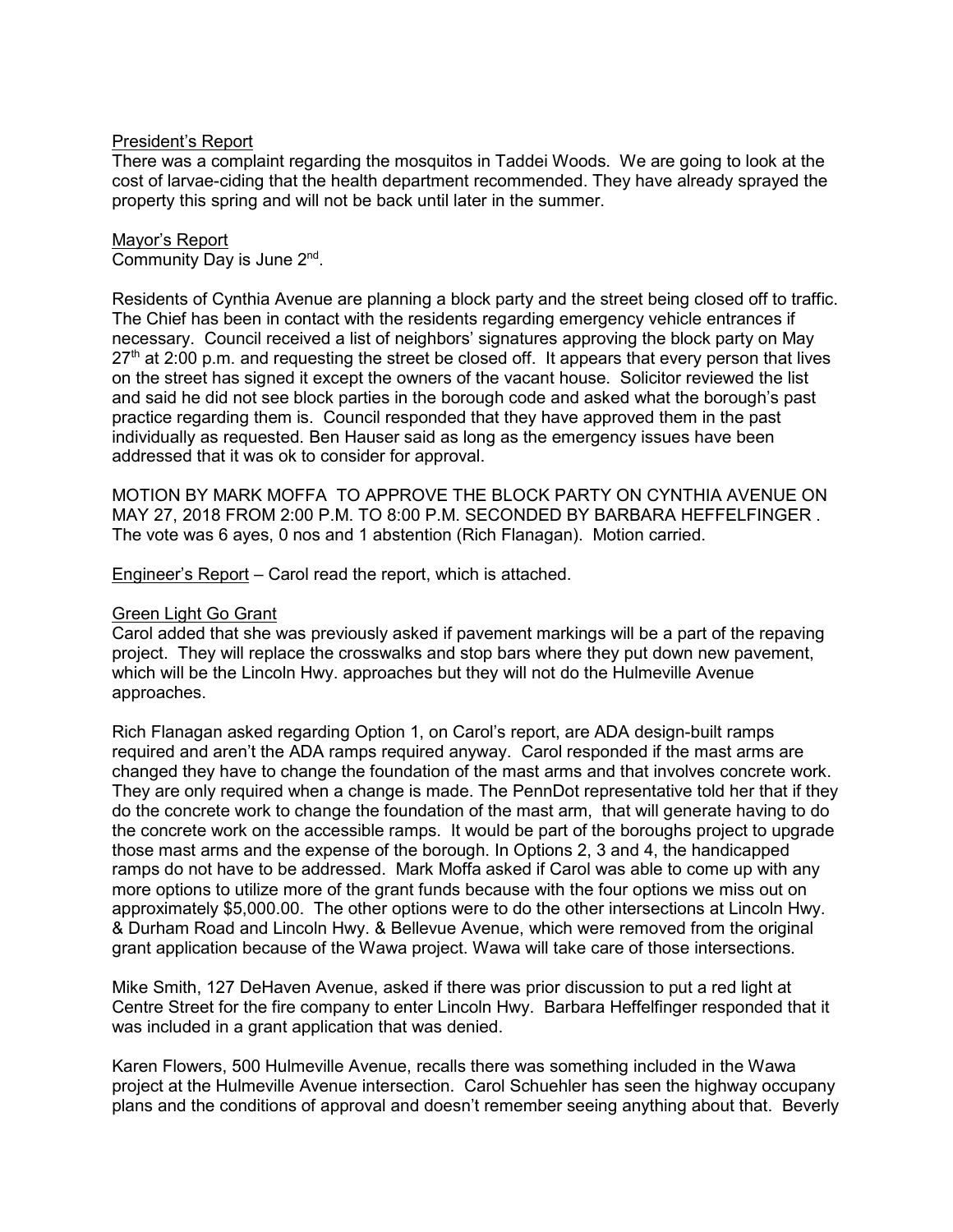## President's Report

There was a complaint regarding the mosquitos in Taddei Woods. We are going to look at the cost of larvae-ciding that the health department recommended. They have already sprayed the property this spring and will not be back until later in the summer.

#### Mayor's Report

Community Day is June 2nd .

Residents of Cynthia Avenue are planning a block party and the street being closed off to traffic. The Chief has been in contact with the residents regarding emergency vehicle entrances if necessary. Council received a list of neighbors' signatures approving the block party on May  $27<sup>th</sup>$  at 2:00 p.m. and requesting the street be closed off. It appears that every person that lives on the street has signed it except the owners of the vacant house. Solicitor reviewed the list and said he did not see block parties in the borough code and asked what the borough's past practice regarding them is. Council responded that they have approved them in the past individually as requested. Ben Hauser said as long as the emergency issues have been addressed that it was ok to consider for approval.

MOTION BY MARK MOFFA TO APPROVE THE BLOCK PARTY ON CYNTHIA AVENUE ON MAY 27, 2018 FROM 2:00 P.M. TO 8:00 P.M. SECONDED BY BARBARA HEFFELFINGER . The vote was 6 ayes, 0 nos and 1 abstention (Rich Flanagan). Motion carried.

Engineer's Report – Carol read the report, which is attached.

## Green Light Go Grant

Carol added that she was previously asked if pavement markings will be a part of the repaving project. They will replace the crosswalks and stop bars where they put down new pavement, which will be the Lincoln Hwy. approaches but they will not do the Hulmeville Avenue approaches.

Rich Flanagan asked regarding Option 1, on Carol's report, are ADA design-built ramps required and aren't the ADA ramps required anyway. Carol responded if the mast arms are changed they have to change the foundation of the mast arms and that involves concrete work. They are only required when a change is made. The PennDot representative told her that if they do the concrete work to change the foundation of the mast arm, that will generate having to do the concrete work on the accessible ramps. It would be part of the boroughs project to upgrade those mast arms and the expense of the borough. In Options 2, 3 and 4, the handicapped ramps do not have to be addressed. Mark Moffa asked if Carol was able to come up with any more options to utilize more of the grant funds because with the four options we miss out on approximately \$5,000.00. The other options were to do the other intersections at Lincoln Hwy. & Durham Road and Lincoln Hwy. & Bellevue Avenue, which were removed from the original grant application because of the Wawa project. Wawa will take care of those intersections.

Mike Smith, 127 DeHaven Avenue, asked if there was prior discussion to put a red light at Centre Street for the fire company to enter Lincoln Hwy. Barbara Heffelfinger responded that it was included in a grant application that was denied.

Karen Flowers, 500 Hulmeville Avenue, recalls there was something included in the Wawa project at the Hulmeville Avenue intersection. Carol Schuehler has seen the highway occupany plans and the conditions of approval and doesn't remember seeing anything about that. Beverly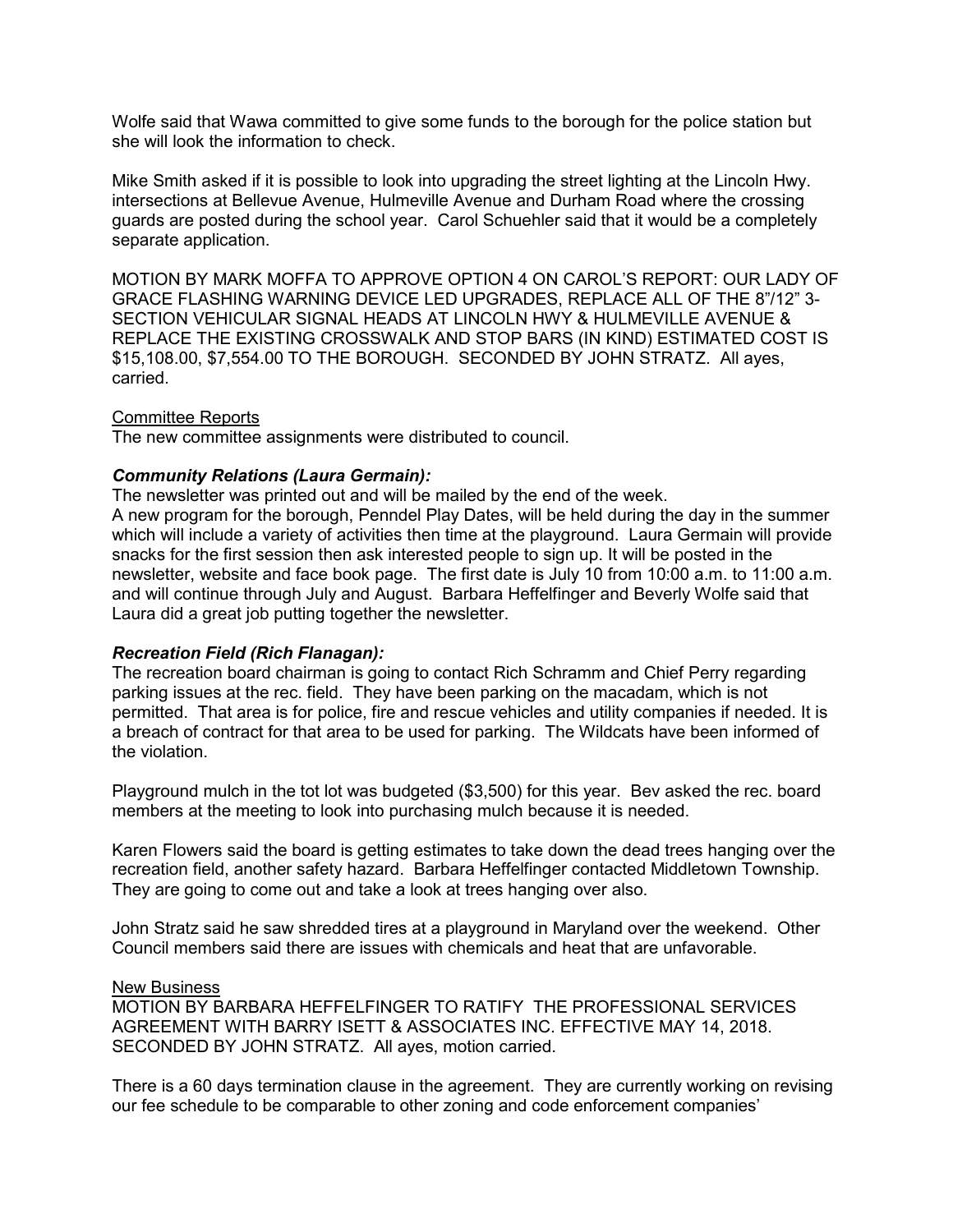Wolfe said that Wawa committed to give some funds to the borough for the police station but she will look the information to check.

Mike Smith asked if it is possible to look into upgrading the street lighting at the Lincoln Hwy. intersections at Bellevue Avenue, Hulmeville Avenue and Durham Road where the crossing guards are posted during the school year. Carol Schuehler said that it would be a completely separate application.

MOTION BY MARK MOFFA TO APPROVE OPTION 4 ON CAROL'S REPORT: OUR LADY OF GRACE FLASHING WARNING DEVICE LED UPGRADES, REPLACE ALL OF THE 8"/12" 3- SECTION VEHICULAR SIGNAL HEADS AT LINCOLN HWY & HULMEVILLE AVENUE & REPLACE THE EXISTING CROSSWALK AND STOP BARS (IN KIND) ESTIMATED COST IS \$15,108.00, \$7,554.00 TO THE BOROUGH. SECONDED BY JOHN STRATZ. All ayes, carried.

### Committee Reports

The new committee assignments were distributed to council.

### *Community Relations (Laura Germain):*

The newsletter was printed out and will be mailed by the end of the week. A new program for the borough, Penndel Play Dates, will be held during the day in the summer which will include a variety of activities then time at the playground. Laura Germain will provide snacks for the first session then ask interested people to sign up. It will be posted in the newsletter, website and face book page. The first date is July 10 from 10:00 a.m. to 11:00 a.m. and will continue through July and August. Barbara Heffelfinger and Beverly Wolfe said that Laura did a great job putting together the newsletter.

### *Recreation Field (Rich Flanagan):*

The recreation board chairman is going to contact Rich Schramm and Chief Perry regarding parking issues at the rec. field. They have been parking on the macadam, which is not permitted. That area is for police, fire and rescue vehicles and utility companies if needed. It is a breach of contract for that area to be used for parking. The Wildcats have been informed of the violation.

Playground mulch in the tot lot was budgeted (\$3,500) for this year. Bev asked the rec. board members at the meeting to look into purchasing mulch because it is needed.

Karen Flowers said the board is getting estimates to take down the dead trees hanging over the recreation field, another safety hazard. Barbara Heffelfinger contacted Middletown Township. They are going to come out and take a look at trees hanging over also.

John Stratz said he saw shredded tires at a playground in Maryland over the weekend. Other Council members said there are issues with chemicals and heat that are unfavorable.

#### New Business

MOTION BY BARBARA HEFFELFINGER TO RATIFY THE PROFESSIONAL SERVICES AGREEMENT WITH BARRY ISETT & ASSOCIATES INC. EFFECTIVE MAY 14, 2018. SECONDED BY JOHN STRATZ. All ayes, motion carried.

There is a 60 days termination clause in the agreement. They are currently working on revising our fee schedule to be comparable to other zoning and code enforcement companies'